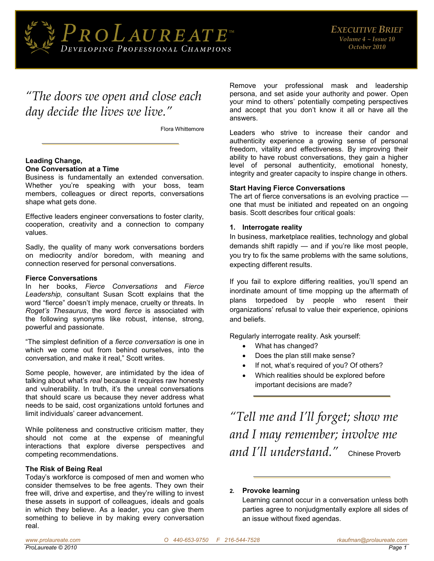

# *"The doors we open and close each day decide the lives we live."*

Flora Whittemore

#### **Leading Change, One Conversation at a Time**

Business is fundamentally an extended conversation. Whether you're speaking with your boss, team members, colleagues or direct reports, conversations shape what gets done.

Effective leaders engineer conversations to foster clarity, cooperation, creativity and a connection to company values.

Sadly, the quality of many work conversations borders on mediocrity and/or boredom, with meaning and connection reserved for personal conversations.

#### **Fierce Conversations**

In her books, *Fierce Conversations* and *Fierce Leadership,* consultant Susan Scott explains that the word "fierce" doesn't imply menace, cruelty or threats. In *Roget's Thesaurus*, the word *fierce* is associated with the following synonyms like robust, intense, strong, powerful and passionate.

"The simplest definition of a *fierce conversation* is one in which we come out from behind ourselves, into the conversation, and make it real," Scott writes.

Some people, however, are intimidated by the idea of talking about what's *real* because it requires raw honesty and vulnerability. In truth, it's the unreal conversations that should scare us because they never address what needs to be said, cost organizations untold fortunes and limit individuals' career advancement.

While politeness and constructive criticism matter, they should not come at the expense of meaningful interactions that explore diverse perspectives and competing recommendations.

#### **The Risk of Being Real**

Today's workforce is composed of men and women who consider themselves to be free agents. They own their free will, drive and expertise, and they're willing to invest these assets in support of colleagues, ideals and goals in which they believe. As a leader, you can give them something to believe in by making every conversation real.

Remove your professional mask and leadership persona, and set aside your authority and power. Open your mind to others' potentially competing perspectives and accept that you don't know it all or have all the answers.

Leaders who strive to increase their candor and authenticity experience a growing sense of personal freedom, vitality and effectiveness. By improving their ability to have robust conversations, they gain a higher level of personal authenticity, emotional honesty, integrity and greater capacity to inspire change in others.

#### **Start Having Fierce Conversations**

The art of fierce conversations is an evolving practice one that must be initiated and repeated on an ongoing basis. Scott describes four critical goals:

#### **1. Interrogate reality**

In business, marketplace realities, technology and global demands shift rapidly — and if you're like most people, you try to fix the same problems with the same solutions, expecting different results.

If you fail to explore differing realities, you'll spend an inordinate amount of time mopping up the aftermath of plans torpedoed by people who resent their organizations' refusal to value their experience, opinions and beliefs.

Regularly interrogate reality. Ask yourself:

- What has changed?
- Does the plan still make sense?
- If not, what's required of you? Of others?
- Which realities should be explored before important decisions are made?

*"Tell me and I'll forget; show me and I may remember; involve me and I'll understand."* Chinese Proverb

#### **2. Provoke learning**

Learning cannot occur in a conversation unless both parties agree to nonjudgmentally explore all sides of an issue without fixed agendas.